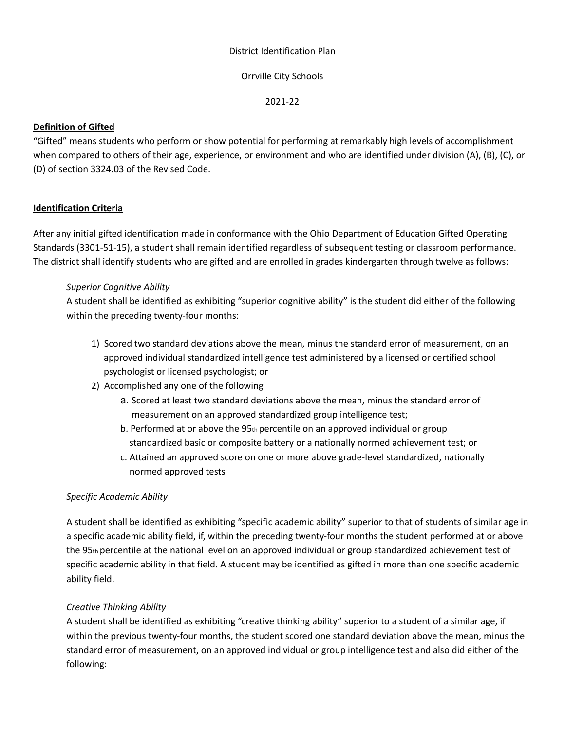#### District Identification Plan

## Orrville City Schools

2021-22

# **Definition of Gifted**

"Gifted" means students who perform or show potential for performing at remarkably high levels of accomplishment when compared to others of their age, experience, or environment and who are identified under division (A), (B), (C), or (D) of section 3324.03 of the Revised Code.

# **Identification Criteria**

After any initial gifted identification made in conformance with the Ohio Department of Education Gifted Operating Standards (3301-51-15), a student shall remain identified regardless of subsequent testing or classroom performance. The district shall identify students who are gifted and are enrolled in grades kindergarten through twelve as follows:

# *Superior Cognitive Ability*

A student shall be identified as exhibiting "superior cognitive ability" is the student did either of the following within the preceding twenty-four months:

- 1) Scored two standard deviations above the mean, minus the standard error of measurement, on an approved individual standardized intelligence test administered by a licensed or certified school psychologist or licensed psychologist; or
- 2) Accomplished any one of the following
	- a. Scored at least two standard deviations above the mean, minus the standard error of measurement on an approved standardized group intelligence test;
	- b. Performed at or above the 95th percentile on an approved individual or group standardized basic or composite battery or a nationally normed achievement test; or
	- c. Attained an approved score on one or more above grade-level standardized, nationally normed approved tests

# *Specific Academic Ability*

A student shall be identified as exhibiting "specific academic ability" superior to that of students of similar age in a specific academic ability field, if, within the preceding twenty-four months the student performed at or above the 95th percentile at the national level on an approved individual or group standardized achievement test of specific academic ability in that field. A student may be identified as gifted in more than one specific academic ability field.

# *Creative Thinking Ability*

A student shall be identified as exhibiting "creative thinking ability" superior to a student of a similar age, if within the previous twenty-four months, the student scored one standard deviation above the mean, minus the standard error of measurement, on an approved individual or group intelligence test and also did either of the following: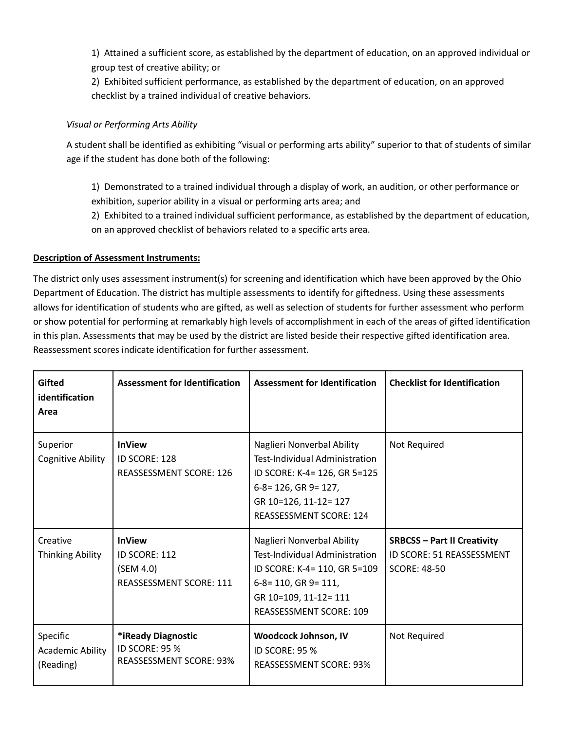1) Attained a sufficient score, as established by the department of education, on an approved individual or group test of creative ability; or

2) Exhibited sufficient performance, as established by the department of education, on an approved checklist by a trained individual of creative behaviors.

# *Visual or Performing Arts Ability*

A student shall be identified as exhibiting "visual or performing arts ability" superior to that of students of similar age if the student has done both of the following:

1) Demonstrated to a trained individual through a display of work, an audition, or other performance or exhibition, superior ability in a visual or performing arts area; and

2) Exhibited to a trained individual sufficient performance, as established by the department of education, on an approved checklist of behaviors related to a specific arts area.

# **Description of Assessment Instruments:**

The district only uses assessment instrument(s) for screening and identification which have been approved by the Ohio Department of Education. The district has multiple assessments to identify for giftedness. Using these assessments allows for identification of students who are gifted, as well as selection of students for further assessment who perform or show potential for performing at remarkably high levels of accomplishment in each of the areas of gifted identification in this plan. Assessments that may be used by the district are listed beside their respective gifted identification area. Reassessment scores indicate identification for further assessment.

| <b>Gifted</b><br>identification<br>Area          | <b>Assessment for Identification</b>                                          | <b>Assessment for Identification</b>                                                                                                                                                   | <b>Checklist for Identification</b>                                                    |
|--------------------------------------------------|-------------------------------------------------------------------------------|----------------------------------------------------------------------------------------------------------------------------------------------------------------------------------------|----------------------------------------------------------------------------------------|
| Superior<br>Cognitive Ability                    | <b>InView</b><br>ID SCORE: 128<br><b>REASSESSMENT SCORE: 126</b>              | Naglieri Nonverbal Ability<br><b>Test-Individual Administration</b><br>ID SCORE: K-4= 126, GR 5=125<br>6-8= 126, GR 9= 127,<br>GR 10=126, 11-12= 127<br><b>REASSESSMENT SCORE: 124</b> | Not Required                                                                           |
| Creative<br><b>Thinking Ability</b>              | <b>InView</b><br>ID SCORE: 112<br>(SEM 4.0)<br>REASSESSMENT SCORE: 111        | Naglieri Nonverbal Ability<br>Test-Individual Administration<br>ID SCORE: K-4= 110, GR 5=109<br>$6-8=110$ , GR 9= 111,<br>GR 10=109, 11-12= 111<br><b>REASSESSMENT SCORE: 109</b>      | <b>SRBCSS - Part II Creativity</b><br>ID SCORE: 51 REASSESSMENT<br><b>SCORE: 48-50</b> |
| Specific<br><b>Academic Ability</b><br>(Reading) | *iReady Diagnostic<br><b>ID SCORE: 95 %</b><br><b>REASSESSMENT SCORE: 93%</b> | Woodcock Johnson, IV<br><b>ID SCORE: 95 %</b><br><b>REASSESSMENT SCORE: 93%</b>                                                                                                        | Not Required                                                                           |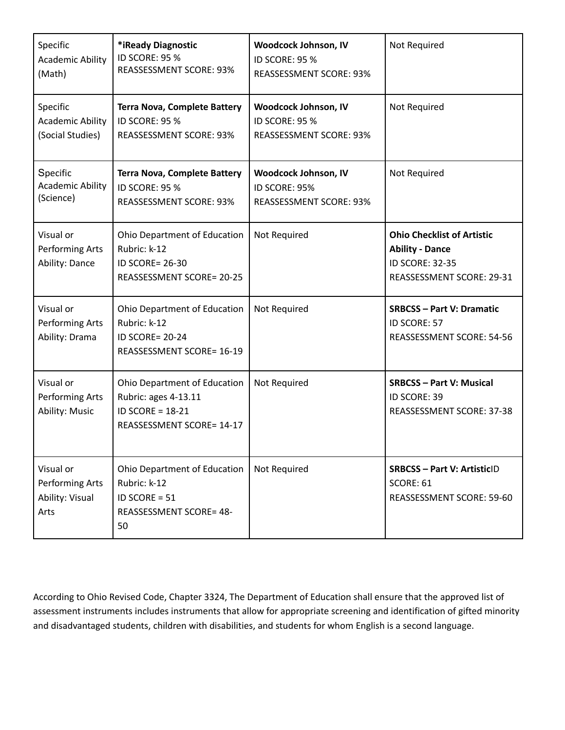| Specific<br><b>Academic Ability</b><br>(Math)           | *iReady Diagnostic<br>ID SCORE: 95 %<br><b>REASSESSMENT SCORE: 93%</b>                                     | Woodcock Johnson, IV<br>ID SCORE: 95 %<br><b>REASSESSMENT SCORE: 93%</b> | Not Required                                                                                                |
|---------------------------------------------------------|------------------------------------------------------------------------------------------------------------|--------------------------------------------------------------------------|-------------------------------------------------------------------------------------------------------------|
| Specific<br><b>Academic Ability</b><br>(Social Studies) | <b>Terra Nova, Complete Battery</b><br>ID SCORE: 95 %<br><b>REASSESSMENT SCORE: 93%</b>                    | Woodcock Johnson, IV<br>ID SCORE: 95 %<br><b>REASSESSMENT SCORE: 93%</b> | Not Required                                                                                                |
| Specific<br><b>Academic Ability</b><br>(Science)        | <b>Terra Nova, Complete Battery</b><br>ID SCORE: 95 %<br><b>REASSESSMENT SCORE: 93%</b>                    | Woodcock Johnson, IV<br>ID SCORE: 95%<br>REASSESSMENT SCORE: 93%         | Not Required                                                                                                |
| Visual or<br>Performing Arts<br>Ability: Dance          | Ohio Department of Education<br>Rubric: k-12<br><b>ID SCORE= 26-30</b><br><b>REASSESSMENT SCORE= 20-25</b> | Not Required                                                             | <b>Ohio Checklist of Artistic</b><br><b>Ability - Dance</b><br>ID SCORE: 32-35<br>REASSESSMENT SCORE: 29-31 |
| Visual or<br>Performing Arts<br>Ability: Drama          | Ohio Department of Education<br>Rubric: k-12<br><b>ID SCORE= 20-24</b><br><b>REASSESSMENT SCORE= 16-19</b> | Not Required                                                             | <b>SRBCSS-Part V: Dramatic</b><br>ID SCORE: 57<br>REASSESSMENT SCORE: 54-56                                 |
| Visual or<br>Performing Arts<br>Ability: Music          | Ohio Department of Education<br>Rubric: ages 4-13.11<br>ID SCORE = 18-21<br>REASSESSMENT SCORE= 14-17      | Not Required                                                             | <b>SRBCSS - Part V: Musical</b><br>ID SCORE: 39<br>REASSESSMENT SCORE: 37-38                                |
| Visual or<br>Performing Arts<br>Ability: Visual<br>Arts | Ohio Department of Education<br>Rubric: k-12<br>ID SCORE = $51$<br><b>REASSESSMENT SCORE= 48-</b><br>50    | Not Required                                                             | <b>SRBCSS - Part V: ArtisticID</b><br>SCORE: 61<br>REASSESSMENT SCORE: 59-60                                |

According to Ohio Revised Code, Chapter 3324, The Department of Education shall ensure that the approved list of assessment instruments includes instruments that allow for appropriate screening and identification of gifted minority and disadvantaged students, children with disabilities, and students for whom English is a second language.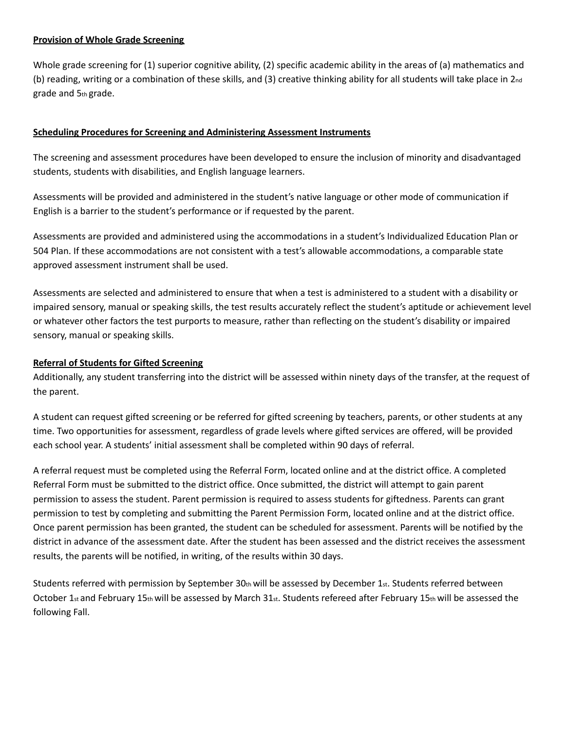### **Provision of Whole Grade Screening**

Whole grade screening for (1) superior cognitive ability, (2) specific academic ability in the areas of (a) mathematics and (b) reading, writing or a combination of these skills, and (3) creative thinking ability for all students will take place in 2nd grade and 5th grade.

### **Scheduling Procedures for Screening and Administering Assessment Instruments**

The screening and assessment procedures have been developed to ensure the inclusion of minority and disadvantaged students, students with disabilities, and English language learners.

Assessments will be provided and administered in the student's native language or other mode of communication if English is a barrier to the student's performance or if requested by the parent.

Assessments are provided and administered using the accommodations in a student's Individualized Education Plan or 504 Plan. If these accommodations are not consistent with a test's allowable accommodations, a comparable state approved assessment instrument shall be used.

Assessments are selected and administered to ensure that when a test is administered to a student with a disability or impaired sensory, manual or speaking skills, the test results accurately reflect the student's aptitude or achievement level or whatever other factors the test purports to measure, rather than reflecting on the student's disability or impaired sensory, manual or speaking skills.

### **Referral of Students for Gifted Screening**

Additionally, any student transferring into the district will be assessed within ninety days of the transfer, at the request of the parent.

A student can request gifted screening or be referred for gifted screening by teachers, parents, or other students at any time. Two opportunities for assessment, regardless of grade levels where gifted services are offered, will be provided each school year. A students' initial assessment shall be completed within 90 days of referral.

A referral request must be completed using the Referral Form, located online and at the district office. A completed Referral Form must be submitted to the district office. Once submitted, the district will attempt to gain parent permission to assess the student. Parent permission is required to assess students for giftedness. Parents can grant permission to test by completing and submitting the Parent Permission Form, located online and at the district office. Once parent permission has been granted, the student can be scheduled for assessment. Parents will be notified by the district in advance of the assessment date. After the student has been assessed and the district receives the assessment results, the parents will be notified, in writing, of the results within 30 days.

Students referred with permission by September  $30<sub>th</sub>$  will be assessed by December 1 $st$ . Students referred between October 1<sub>st</sub> and February 15th will be assessed by March 31st. Students refereed after February 15th will be assessed the following Fall.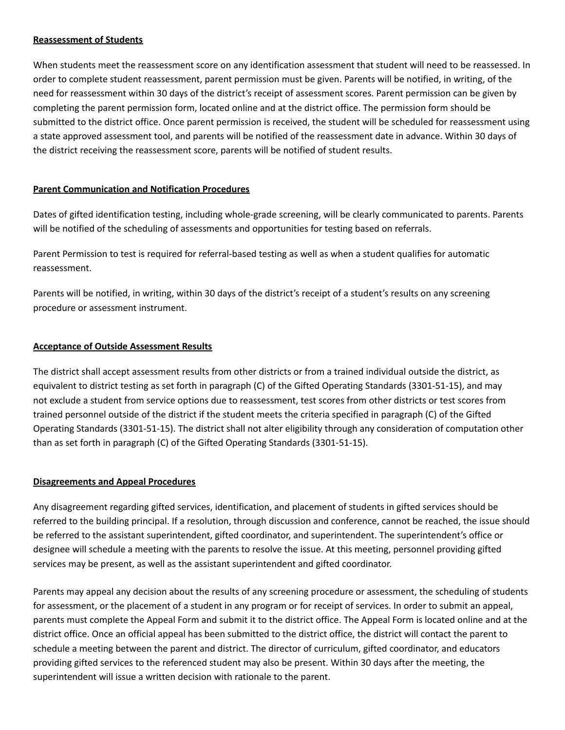#### **Reassessment of Students**

When students meet the reassessment score on any identification assessment that student will need to be reassessed. In order to complete student reassessment, parent permission must be given. Parents will be notified, in writing, of the need for reassessment within 30 days of the district's receipt of assessment scores. Parent permission can be given by completing the parent permission form, located online and at the district office. The permission form should be submitted to the district office. Once parent permission is received, the student will be scheduled for reassessment using a state approved assessment tool, and parents will be notified of the reassessment date in advance. Within 30 days of the district receiving the reassessment score, parents will be notified of student results.

#### **Parent Communication and Notification Procedures**

Dates of gifted identification testing, including whole-grade screening, will be clearly communicated to parents. Parents will be notified of the scheduling of assessments and opportunities for testing based on referrals.

Parent Permission to test is required for referral-based testing as well as when a student qualifies for automatic reassessment.

Parents will be notified, in writing, within 30 days of the district's receipt of a student's results on any screening procedure or assessment instrument.

#### **Acceptance of Outside Assessment Results**

The district shall accept assessment results from other districts or from a trained individual outside the district, as equivalent to district testing as set forth in paragraph (C) of the Gifted Operating Standards (3301-51-15), and may not exclude a student from service options due to reassessment, test scores from other districts or test scores from trained personnel outside of the district if the student meets the criteria specified in paragraph (C) of the Gifted Operating Standards (3301-51-15). The district shall not alter eligibility through any consideration of computation other than as set forth in paragraph (C) of the Gifted Operating Standards (3301-51-15).

#### **Disagreements and Appeal Procedures**

Any disagreement regarding gifted services, identification, and placement of students in gifted services should be referred to the building principal. If a resolution, through discussion and conference, cannot be reached, the issue should be referred to the assistant superintendent, gifted coordinator, and superintendent. The superintendent's office or designee will schedule a meeting with the parents to resolve the issue. At this meeting, personnel providing gifted services may be present, as well as the assistant superintendent and gifted coordinator.

Parents may appeal any decision about the results of any screening procedure or assessment, the scheduling of students for assessment, or the placement of a student in any program or for receipt of services. In order to submit an appeal, parents must complete the Appeal Form and submit it to the district office. The Appeal Form is located online and at the district office. Once an official appeal has been submitted to the district office, the district will contact the parent to schedule a meeting between the parent and district. The director of curriculum, gifted coordinator, and educators providing gifted services to the referenced student may also be present. Within 30 days after the meeting, the superintendent will issue a written decision with rationale to the parent.